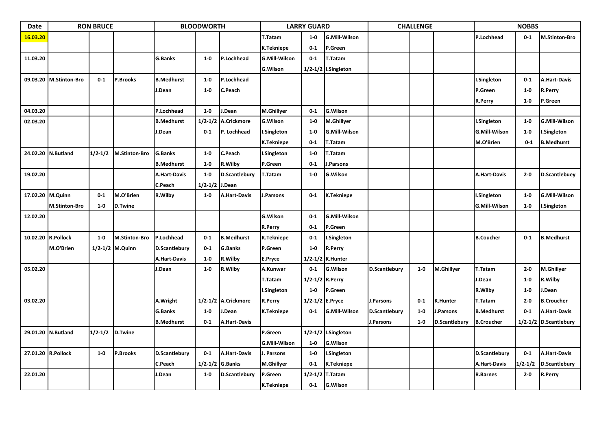| Date               | <b>RON BRUCE</b><br><b>BLOODWORTH</b> |             |                      |                      | <b>LARRY GUARD</b> |                      |                      | <b>CHALLENGE</b> |                         |               | <b>NOBBS</b> |                 |                      |             |                       |
|--------------------|---------------------------------------|-------------|----------------------|----------------------|--------------------|----------------------|----------------------|------------------|-------------------------|---------------|--------------|-----------------|----------------------|-------------|-----------------------|
| 16.03.20           |                                       |             |                      |                      |                    |                      | T.Tatam              | $1-0$            | <b>G.Mill-Wilson</b>    |               |              |                 | P.Lochhead           | $0-1$       | <b>M.Stinton-Bro</b>  |
|                    |                                       |             |                      |                      |                    |                      | K.Tekniepe           | $0-1$            | P.Green                 |               |              |                 |                      |             |                       |
| 11.03.20           |                                       |             |                      | <b>G.Banks</b>       | $1-0$              | P.Lochhead           | <b>G.Mill-Wilson</b> | $0-1$            | T.Tatam                 |               |              |                 |                      |             |                       |
|                    |                                       |             |                      |                      |                    |                      | <b>G.Wilson</b>      |                  | $1/2 - 1/2$ I.Singleton |               |              |                 |                      |             |                       |
|                    | 09.03.20 M.Stinton-Bro                | $0 - 1$     | <b>P.Brooks</b>      | <b>B.Medhurst</b>    | $1-0$              | P.Lochhead           |                      |                  |                         |               |              |                 | I.Singleton          | $0 - 1$     | <b>A.Hart-Davis</b>   |
|                    |                                       |             |                      | J.Dean               | $1-0$              | C.Peach              |                      |                  |                         |               |              |                 | P.Green              | $1 - 0$     | R.Perry               |
|                    |                                       |             |                      |                      |                    |                      |                      |                  |                         |               |              |                 | R.Perry              | $1 - 0$     | P.Green               |
| 04.03.20           |                                       |             |                      | P.Lochhead           | $1-0$              | J.Dean               | M.Ghillyer           | $0-1$            | <b>G.Wilson</b>         |               |              |                 |                      |             |                       |
| 02.03.20           |                                       |             |                      | <b>B.Medhurst</b>    | 1/2 1/2            | A.Crickmore          | G.Wilson             | $1-0$            | M.Ghillyer              |               |              |                 | .Singleton           | $1-0$       | <b>G.Mill-Wilson</b>  |
|                    |                                       |             |                      | J.Dean               | $0 - 1$            | P. Lochhead          | Singleton            | $1 - 0$          | <b>G.Mill-Wilson</b>    |               |              |                 | <b>G.Mill-Wilson</b> | $1 - 0$     | I.Singleton           |
|                    |                                       |             |                      |                      |                    |                      | K.Tekniepe           | $0-1$            | T.Tatam                 |               |              |                 | M.O'Brien            | $0 - 1$     | <b>B.Medhurst</b>     |
|                    | 24.02.20 N.Butland                    | $1/2 - 1/2$ | <b>M.Stinton-Bro</b> | <b>G.Banks</b>       | $1-0$              | C.Peach              | I.Singleton          | $1-0$            | T.Tatam                 |               |              |                 |                      |             |                       |
|                    |                                       |             |                      | <b>B.Medhurst</b>    | $1-0$              | R. Wilby             | P.Green              | $0 - 1$          | J.Parsons               |               |              |                 |                      |             |                       |
| 19.02.20           |                                       |             |                      | <b>A.Hart-Davis</b>  | $1-0$              | <b>D.Scantlebury</b> | <b>T.Tatam</b>       | $1-0$            | <b>G.Wilson</b>         |               |              |                 | <b>A.Hart-Davis</b>  | $2 - 0$     | D.Scantlebuey         |
|                    |                                       |             |                      | C.Peach              | 1/2-1/2            | J.Dean               |                      |                  |                         |               |              |                 |                      |             |                       |
| 17.02.20 M.Quinn   |                                       | $0-1$       | M.O'Brien            | R.Wilby              | $1 - 0$            | <b>A.Hart-Davis</b>  | <b>I.Parsons</b>     | $0 - 1$          | K.Tekniepe              |               |              |                 | .Singleton           | $1-0$       | <b>G.Mill-Wilson</b>  |
|                    | <b>M.Stinton-Bro</b>                  | $1-0$       | <b>D.Twine</b>       |                      |                    |                      |                      |                  |                         |               |              |                 | <b>G.Mill-Wilson</b> | $1-0$       | I.Singleton           |
| 12.02.20           |                                       |             |                      |                      |                    |                      | <b>G.Wilson</b>      | $0-1$            | <b>G.Mill-Wilson</b>    |               |              |                 |                      |             |                       |
|                    |                                       |             |                      |                      |                    |                      | R.Perry              | $0 - 1$          | P.Green                 |               |              |                 |                      |             |                       |
| 10.02.20 R.Pollock |                                       | $1-0$       | <b>M.Stinton-Bro</b> | P.Lochhead           | $0 - 1$            | <b>B.Medhurst</b>    | K.Tekniepe           | $0-1$            | I.Singleton             |               |              |                 | <b>B.Coucher</b>     | $0 - 1$     | <b>B.Medhurst</b>     |
|                    | M.O'Brien                             |             | 1/2-1/2 M.Quinn      | <b>D.Scantlebury</b> | $0 - 1$            | <b>G.Banks</b>       | P.Green              | $1 - 0$          | <b>R.Perry</b>          |               |              |                 |                      |             |                       |
|                    |                                       |             |                      | A.Hart-Davis         | $1-0$              | R.Wilby              | E.Pryce              |                  | 1/2-1/2 K.Hunter        |               |              |                 |                      |             |                       |
| 05.02.20           |                                       |             |                      | J.Dean               | $1-0$              | R.Wilby              | A.Kunwar             | $0-1$            | <b>G.Wilson</b>         | D.Scantlebury | $1-0$        | M.Ghillyer      | T.Tatam              | $2 - 0$     | M.Ghillyer            |
|                    |                                       |             |                      |                      |                    |                      | <b>T.Tatam</b>       | 1/2-1/2 R.Perry  |                         |               |              |                 | J.Dean               | $1-0$       | R.Wilby               |
|                    |                                       |             |                      |                      |                    |                      | I.Singleton          | $1-0$            | P.Green                 |               |              |                 | R.Wilby              | $1-0$       | I.Dean                |
| 03.02.20           |                                       |             |                      | A.Wright             |                    | 1/2-1/2 A.Crickmore  | <b>R.Perry</b>       | 1/2-1/2 E.Pryce  |                         | J.Parsons     | $0-1$        | <b>K.Hunter</b> | T.Tatam              | $2-0$       | <b>B.Croucher</b>     |
|                    |                                       |             |                      | G.Banks              | $1 - 0$            | J.Dean               | <b>K.Tekniepe</b>    | $0-1$            | <b>G.Mill-Wilson</b>    | D.Scantlebury | $1 - 0$      | J.Parsons       | <b>B.Medhurst</b>    | $0 - 1$     | <b>A.Hart-Davis</b>   |
|                    |                                       |             |                      | <b>B.Medhurst</b>    | $0 - 1$            | <b>A.Hart-Davis</b>  |                      |                  |                         | J.Parsons     | $1-0$        | D.Scantlebury   | <b>B.Croucher</b>    |             | 1/2-1/2 D.Scantlebury |
|                    | 29.01.20 N.Butland                    | 1/2.1/2     | <b>D.Twine</b>       |                      |                    |                      | P.Green              | 1/2-1/2          | I.Singleton             |               |              |                 |                      |             |                       |
|                    |                                       |             |                      |                      |                    |                      | <b>G.Mill-Wilson</b> | $1-0$            | <b>G.Wilson</b>         |               |              |                 |                      |             |                       |
| 27.01.20 R.Pollock |                                       | $1-0$       | <b>P.Brooks</b>      | D.Scantlebury        | $0 - 1$            | <b>A.Hart-Davis</b>  | J. Parsons           | $1-0$            | I.Singleton             |               |              |                 | D.Scantlebury        | $0 - 1$     | <b>A.Hart-Davis</b>   |
|                    |                                       |             |                      | C.Peach              | 1/2.1/2            | <b>G.Banks</b>       | M.Ghillyer           | $0-1$            | <b>K.Tekniepe</b>       |               |              |                 | <b>A.Hart-Davis</b>  | $1/2 - 1/2$ | D.Scantlebury         |
| 22.01.20           |                                       |             |                      | J.Dean               | $1-0$              | D.Scantlebury        | P.Green              | $1/2 - 1/2$      | T.Tatam                 |               |              |                 | R.Barnes             | $2 - 0$     | R.Perry               |
|                    |                                       |             |                      |                      |                    |                      | K.Tekniepe           | $0 - 1$          | <b>G.Wilson</b>         |               |              |                 |                      |             |                       |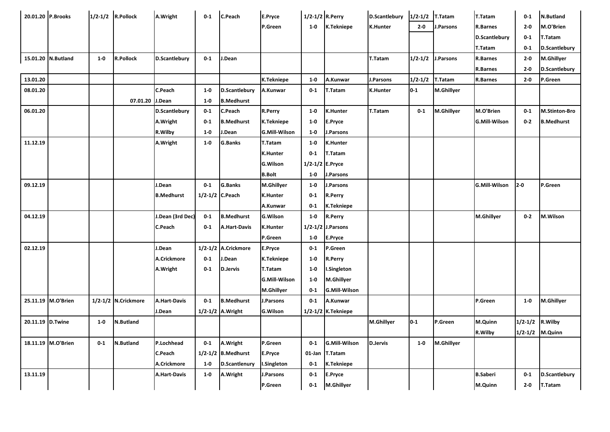| 20.01.20 P.Brooks |                    |       | 1/2-1/2 R.Pollock   | A.Wright            | $0-1$           | C.Peach                 | E.Pryce              | 1/2-1/2 R.Perry |                         | D.Scantlebury   | $1/2-1/2$ T. Tatam |                | T.Tatam                    | $0 - 1$ | <b>N.Butland</b>     |
|-------------------|--------------------|-------|---------------------|---------------------|-----------------|-------------------------|----------------------|-----------------|-------------------------|-----------------|--------------------|----------------|----------------------------|---------|----------------------|
|                   |                    |       |                     |                     |                 |                         | P.Green              | $1 - 0$         | K.Tekniepe              | <b>K.Hunter</b> | $2 - 0$            | J.Parsons      | <b>R.Barnes</b>            | $2-0$   | M.O'Brien            |
|                   |                    |       |                     |                     |                 |                         |                      |                 |                         |                 |                    |                | D.Scantlebury              | $0 - 1$ | T.Tatam              |
|                   |                    |       |                     |                     |                 |                         |                      |                 |                         |                 |                    |                |                            |         |                      |
|                   | 15.01.20 N.Butland | $1-0$ | <b>R.Pollock</b>    |                     | $0 - 1$         | J.Dean                  |                      |                 |                         | T.Tatam         |                    | J.Parsons      | T.Tatam<br><b>R.Barnes</b> | $0 - 1$ | <b>D.Scantlebury</b> |
|                   |                    |       |                     | D.Scantlebury       |                 |                         |                      |                 |                         |                 | $1/2 - 1/2$        |                |                            | $2 - 0$ | M.Ghillyer           |
|                   |                    |       |                     |                     |                 |                         |                      |                 |                         |                 |                    |                | <b>R.Barnes</b>            | $2 - 0$ | D.Scantlebury        |
| 13.01.20          |                    |       |                     |                     |                 |                         | K.Tekniepe           | $1 - 0$         | A.Kunwar                | J.Parsons       | $1/2 - 1/2$        | <b>T.Tatam</b> | R.Barnes                   | $2 - 0$ | P.Green              |
| 08.01.20          |                    |       |                     | C.Peach             | $1 - 0$         | <b>D.Scantlebury</b>    | A.Kunwar             | $0-1$           | T.Tatam                 | <b>K.Hunter</b> | $0 - 1$            | M.Ghillyer     |                            |         |                      |
|                   |                    |       | 07.01.20 J.Dean     |                     | $1 - 0$         | <b>B.Medhurst</b>       |                      |                 |                         |                 |                    |                |                            |         |                      |
| 06.01.20          |                    |       |                     | D.Scantlebury       | $0 - 1$         | C.Peach                 | <b>R.Perry</b>       | $1 - 0$         | <b>K.Hunter</b>         | <b>T.Tatam</b>  | $0 - 1$            | M.Ghillyer     | M.O'Brien                  | $0 - 1$ | <b>M.Stinton-Bro</b> |
|                   |                    |       |                     | A.Wright            | $0-1$           | <b>B.Medhurst</b>       | K.Tekniepe           | $1-0$           | E.Pryce                 |                 |                    |                | <b>G.Mill-Wilson</b>       | $0 - 2$ | <b>B.Medhurst</b>    |
|                   |                    |       |                     | R.Wilby             | $1-0$           | J.Dean                  | <b>G.Mill-Wilson</b> | $1-0$           | J.Parsons               |                 |                    |                |                            |         |                      |
| 11.12.19          |                    |       |                     | A.Wright            | $1-0$           | <b>G.Banks</b>          | T.Tatam              | $1 - 0$         | <b>K.Hunter</b>         |                 |                    |                |                            |         |                      |
|                   |                    |       |                     |                     |                 |                         | <b>K.Hunter</b>      | $0 - 1$         | T.Tatam                 |                 |                    |                |                            |         |                      |
|                   |                    |       |                     |                     |                 |                         | G.Wilson             |                 | 1/2-1/2 E.Pryce         |                 |                    |                |                            |         |                      |
|                   |                    |       |                     |                     |                 |                         | <b>B.Bolt</b>        | $1-0$           | J.Parsons               |                 |                    |                |                            |         |                      |
| 09.12.19          |                    |       |                     | J.Dean              | $0 - 1$         | <b>G.Banks</b>          | M.Ghillyer           | $1 - 0$         | J.Parsons               |                 |                    |                | <b>G.Mill-Wilson</b>       | $2-0$   | P.Green              |
|                   |                    |       |                     | <b>B.Medhurst</b>   | 1/2-1/2 C.Peach |                         | <b>K.Hunter</b>      | $0 - 1$         | <b>R.Perry</b>          |                 |                    |                |                            |         |                      |
|                   |                    |       |                     |                     |                 |                         | A.Kunwar             | $0 - 1$         | K.Tekniepe              |                 |                    |                |                            |         |                      |
| 04.12.19          |                    |       |                     | J.Dean (3rd Dec)    | $0-1$           | <b>B.Medhurst</b>       | <b>G.Wilson</b>      | $1 - 0$         | <b>R.Perry</b>          |                 |                    |                | M.Ghillyer                 | $0-2$   | M.Wilson             |
|                   |                    |       |                     | C.Peach             | $0 - 1$         | <b>A.Hart-Davis</b>     | <b>K.Hunter</b>      |                 | 1/2-1/2 J.Parsons       |                 |                    |                |                            |         |                      |
|                   |                    |       |                     |                     |                 |                         | P.Green              | $1 - 0$         | E.Pryce                 |                 |                    |                |                            |         |                      |
| 02.12.19          |                    |       |                     | J.Dean              |                 | 1/2-1/2 A.Crickmore     | E.Pryce              | $0-1$           | P.Green                 |                 |                    |                |                            |         |                      |
|                   |                    |       |                     | A.Crickmore         | $0 - 1$         | J.Dean                  | K.Tekniepe           | $1 - 0$         | R.Perry                 |                 |                    |                |                            |         |                      |
|                   |                    |       |                     | A.Wright            | $0-1$           | <b>D.Jervis</b>         | T.Tatam              | $1 - 0$         | I.Singleton             |                 |                    |                |                            |         |                      |
|                   |                    |       |                     |                     |                 |                         | <b>G.Mill-Wilson</b> | $1 - 0$         | M.Ghillyer              |                 |                    |                |                            |         |                      |
|                   |                    |       |                     |                     |                 |                         | M.Ghillyer           | $0 - 1$         | <b>G.Mill-Wilson</b>    |                 |                    |                |                            |         |                      |
|                   | 25.11.19 M.O'Brien |       | 1/2-1/2 N.Crickmore | <b>A.Hart-Davis</b> | $0 - 1$         | <b>B.Medhurst</b>       | J.Parsons            | $0-1$           | A.Kunwar                |                 |                    |                | P.Green                    | $1-0$   | M.Ghillyer           |
|                   |                    |       |                     | J.Dean              |                 | 1/2-1/2 A.Wright        | <b>G.Wilson</b>      |                 | $1/2 - 1/2$ K. Tekniepe |                 |                    |                |                            |         |                      |
|                   |                    |       |                     |                     |                 |                         |                      |                 |                         |                 |                    |                |                            |         |                      |
| 20.11.19 D.Twine  |                    | $1-0$ | <b>N.Butland</b>    |                     |                 |                         |                      |                 |                         | M.Ghillyer      | $0 - 1$            | P.Green        | M.Quinn                    |         | 1/2-1/2 R.Wilby      |
|                   |                    |       |                     |                     |                 |                         |                      |                 |                         |                 |                    |                | R.Wilby                    |         | 1/2-1/2 M.Quinn      |
|                   | 18.11.19 M.O'Brien | $0-1$ | <b>N.Butland</b>    | P.Lochhead          | $0-1$           | A.Wright                | P.Green              | $0-1$           | G.Mill-Wilson           | <b>D.Jervis</b> | $1-0$              | M.Ghillyer     |                            |         |                      |
|                   |                    |       |                     | <b>C.Peach</b>      |                 | $1/2 - 1/2$ B. Medhurst | E.Pryce              |                 | 01-Jan T.Tatam          |                 |                    |                |                            |         |                      |
|                   |                    |       |                     | A.Crickmore         | $1-0$           | <b>D.Scantlenury</b>    | I.Singleton          | $0 - 1$         | K.Tekniepe              |                 |                    |                |                            |         |                      |
| 13.11.19          |                    |       |                     | <b>A.Hart-Davis</b> | $1-0$           | A.Wright                | J.Parsons            | $0 - 1$         | E.Pryce                 |                 |                    |                | <b>B.Saberi</b>            | $0 - 1$ | D.Scantlebury        |
|                   |                    |       |                     |                     |                 |                         | P.Green              | $0 - 1$         | M.Ghillyer              |                 |                    |                | M.Quinn                    | $2 - 0$ | T.Tatam              |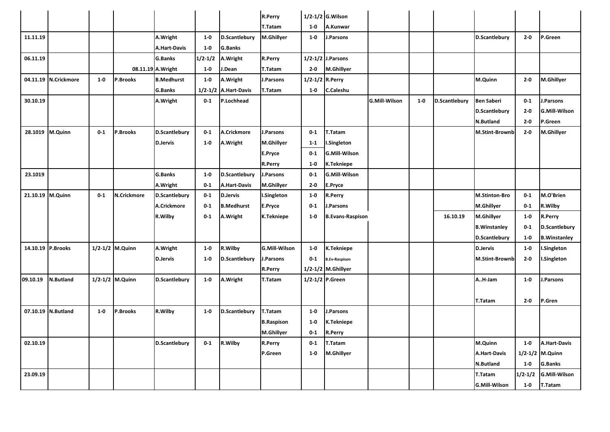|                  |                      |         |                 |                      |             |                      | R.Perry              |                 | 1/2-1/2 G. Wilson       |                      |         |                      |                      |             |                      |
|------------------|----------------------|---------|-----------------|----------------------|-------------|----------------------|----------------------|-----------------|-------------------------|----------------------|---------|----------------------|----------------------|-------------|----------------------|
|                  |                      |         |                 |                      |             |                      | T.Tatam              | $1-0$           | A.Kunwar                |                      |         |                      |                      |             |                      |
| 11.11.19         |                      |         |                 | A.Wright             | $1 - 0$     | <b>D.Scantlebury</b> | M.Ghillyer           | $1-0$           | J.Parsons               |                      |         |                      | <b>D.Scantlebury</b> | $2-0$       | P.Green              |
|                  |                      |         |                 | <b>A.Hart-Davis</b>  | $1-0$       | <b>G.Banks</b>       |                      |                 |                         |                      |         |                      |                      |             |                      |
| 06.11.19         |                      |         |                 | <b>G.Banks</b>       | $1/2 - 1/2$ | A.Wright             | R.Perry              |                 | 1/2-1/2 J.Parsons       |                      |         |                      |                      |             |                      |
|                  |                      |         |                 | 08.11.19 A.Wright    | $1-0$       | J.Dean               | T.Tatam              | $2 - 0$         | <b>M.Ghillyer</b>       |                      |         |                      |                      |             |                      |
|                  | 04.11.19 N.Crickmore | $1-0$   | P.Brooks        | <b>B.Medhurst</b>    | $1-0$       | A.Wright             | J.Parsons            | 1/2-1/2 R.Perry |                         |                      |         |                      | M.Quinn              | $2 - 0$     | <b>M.Ghillyer</b>    |
|                  |                      |         |                 | <b>G.Banks</b>       |             | 1/2-1/2 A.Hart-Davis | T.Tatam              | $1 - 0$         | <b>C.Caleshu</b>        |                      |         |                      |                      |             |                      |
| 30.10.19         |                      |         |                 | A.Wright             | $0 - 1$     | P.Lochhead           |                      |                 |                         | <b>G.Mill-Wilson</b> | $1 - 0$ | <b>D.Scantlebury</b> | <b>Ben Saberi</b>    | $0 - 1$     | J.Parsons            |
|                  |                      |         |                 |                      |             |                      |                      |                 |                         |                      |         |                      | D.Scantlebury        | $2 - 0$     | <b>G.Mill-Wilson</b> |
|                  |                      |         |                 |                      |             |                      |                      |                 |                         |                      |         |                      | N.Butland            | $2 - 0$     | P.Green              |
|                  | 28.1019 M.Quinn      | $0 - 1$ | P.Brooks        | <b>D.Scantlebury</b> | $0-1$       | A.Crickmore          | J.Parsons            | $0-1$           | T.Tatam                 |                      |         |                      | M.Stint-Brownb       | $2 - 0$     | <b>M.Ghillyer</b>    |
|                  |                      |         |                 | <b>D.Jervis</b>      | $1-0$       | A.Wright             | M.Ghillyer           | $1-1$           | I.Singleton             |                      |         |                      |                      |             |                      |
|                  |                      |         |                 |                      |             |                      | E.Pryce              | $0 - 1$         | <b>G.Mill-Wilson</b>    |                      |         |                      |                      |             |                      |
|                  |                      |         |                 |                      |             |                      | <b>R.Perry</b>       | $1-0$           | K.Tekniepe              |                      |         |                      |                      |             |                      |
| 23.1019          |                      |         |                 | <b>G.Banks</b>       | $1 - 0$     | <b>D.Scantlebury</b> | J.Parsons            | $0 - 1$         | <b>G.Mill-Wilson</b>    |                      |         |                      |                      |             |                      |
|                  |                      |         |                 | A.Wright             | $0-1$       | A.Hart-Davis         | M.Ghillyer           | $2 - 0$         | E.Pryce                 |                      |         |                      |                      |             |                      |
| 21.10.19 M.Quinn |                      | $0-1$   | N.Crickmore     | D.Scantlebury        | $0 - 1$     | <b>D.Jervis</b>      | I.Singleton          | $1-0$           | R.Perry                 |                      |         |                      | <b>M.Stinton-Bro</b> | $0 - 1$     | M.O'Brien            |
|                  |                      |         |                 | A.Crickmore          | $0 - 1$     | <b>B.Medhurst</b>    | E.Pryce              | $0 - 1$         | J.Parsons               |                      |         |                      | M.Ghillyer           | $0 - 1$     | R.Wilby              |
|                  |                      |         |                 | R.Wilby              | $0 - 1$     | A.Wright             | K.Tekniepe           | $1 - 0$         | <b>B.Evans-Raspison</b> |                      |         | 16.10.19             | M.Ghillyer           | $1-0$       | <b>R.Perry</b>       |
|                  |                      |         |                 |                      |             |                      |                      |                 |                         |                      |         |                      | <b>B.Winstanley</b>  | $0 - 1$     | D.Scantlebury        |
|                  |                      |         |                 |                      |             |                      |                      |                 |                         |                      |         |                      | <b>D.Scantlebury</b> | $1-0$       | <b>B.Winstanley</b>  |
|                  | 14.10.19 P.Brooks    |         | 1/2-1/2 M.Quinn | A.Wright             | $1-0$       | R.Wilby              | <b>G.Mill-Wilson</b> | $1-0$           | <b>K.Tekniepe</b>       |                      |         |                      | <b>D.Jervis</b>      | $1-0$       | I.Singleton          |
|                  |                      |         |                 | <b>D.Jervis</b>      | $1 - 0$     | D.Scantlebury        | J.Parsons            | $0 - 1$         | <b>B.Ev-Raspison</b>    |                      |         |                      | M.Stint-Brownb       | $2 - 0$     | I.Singleton          |
|                  |                      |         |                 |                      |             |                      | R.Perry              |                 | 1/2-1/2 M.Ghillyer      |                      |         |                      |                      |             |                      |
| 09.10.19         | N.Butland            |         | 1/2-1/2 M.Quinn | D.Scantlebury        | $1-0$       | A.Wright             | T.Tatam              |                 | 1/2-1/2 P.Green         |                      |         |                      | AH-Jam               | $1-0$       | J.Parsons            |
|                  |                      |         |                 |                      |             |                      |                      |                 |                         |                      |         |                      |                      |             |                      |
|                  |                      |         |                 |                      |             |                      |                      |                 |                         |                      |         |                      | T.Tatam              | $2 - 0$     | P.Gren               |
|                  | 07.10.19 N.Butland   | $1 - 0$ | P.Brooks        | R.Wilby              | $1-0$       | <b>D.Scantlebury</b> | T.Tatam              | $1-0$           | J.Parsons               |                      |         |                      |                      |             |                      |
|                  |                      |         |                 |                      |             |                      | <b>B.Raspison</b>    | $1-0$           | K.Tekniepe              |                      |         |                      |                      |             |                      |
|                  |                      |         |                 |                      |             |                      | M.Ghillyer           | $0 - 1$         | <b>R.Perry</b>          |                      |         |                      |                      |             |                      |
| 02.10.19         |                      |         |                 | <b>D.Scantlebury</b> | $0-1$       | R.Wilby              | R.Perry              | $0 - 1$         | T.Tatam                 |                      |         |                      | M.Quinn              | $1-0$       | A.Hart-Davis         |
|                  |                      |         |                 |                      |             |                      | P.Green              | $1-0$           | M.Ghillyer              |                      |         |                      | <b>A.Hart-Davis</b>  |             | 1/2-1/2 M.Quinn      |
|                  |                      |         |                 |                      |             |                      |                      |                 |                         |                      |         |                      | <b>N.Butland</b>     | $1-0$       | <b>G.Banks</b>       |
| 23.09.19         |                      |         |                 |                      |             |                      |                      |                 |                         |                      |         |                      | T.Tatam              | $1/2 - 1/2$ | <b>G.Mill-Wilson</b> |
|                  |                      |         |                 |                      |             |                      |                      |                 |                         |                      |         |                      | <b>G.Mill-Wilson</b> | $1-0$       | T.Tatam              |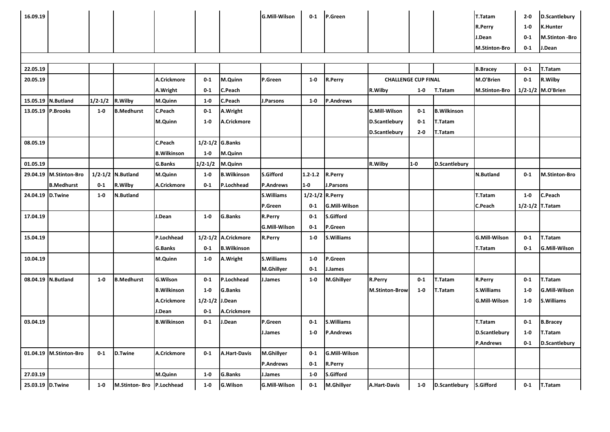| 16.09.19         |                        |             |                      |                    |             |                     | <b>G.Mill-Wilson</b> | $0-1$       | P.Green              |                            |         |                      | T.Tatam              | $2 - 0$     | D.Scantlebury        |
|------------------|------------------------|-------------|----------------------|--------------------|-------------|---------------------|----------------------|-------------|----------------------|----------------------------|---------|----------------------|----------------------|-------------|----------------------|
|                  |                        |             |                      |                    |             |                     |                      |             |                      |                            |         |                      | <b>R.Perry</b>       | $1-0$       | K.Hunter             |
|                  |                        |             |                      |                    |             |                     |                      |             |                      |                            |         |                      | J.Dean               | $0-1$       | M.Stinton -Bro       |
|                  |                        |             |                      |                    |             |                     |                      |             |                      |                            |         |                      | <b>M.Stinton-Bro</b> | $0 - 1$     | J.Dean               |
|                  |                        |             |                      |                    |             |                     |                      |             |                      |                            |         |                      |                      |             |                      |
| 22.05.19         |                        |             |                      |                    |             |                     |                      |             |                      |                            |         |                      | <b>B.Bracey</b>      | $0 - 1$     | T.Tatam              |
| 20.05.19         |                        |             |                      | A.Crickmore        | $0 - 1$     | M.Quinn             | P.Green              | $1-0$       | R.Perry              | <b>CHALLENGE CUP FINAL</b> |         |                      | M.O'Brien            | $0 - 1$     | R.Wilby              |
|                  |                        |             |                      | A.Wright           | $0 - 1$     | C.Peach             |                      |             |                      | R.Wilby                    | $1-0$   | T.Tatam              | <b>M.Stinton-Bro</b> | $1/2 - 1/2$ | M.O'Brien            |
|                  | 15.05.19 N.Butland     | $1/2 - 1/2$ | R.Wilby              | M.Quinn            | $1-0$       | C.Peach             | J.Parsons            | $1-0$       | <b>P.Andrews</b>     |                            |         |                      |                      |             |                      |
|                  | 13.05.19 P.Brooks      | $1-0$       | <b>B.Medhurst</b>    | C.Peach            | $0 - 1$     | A.Wright            |                      |             |                      | <b>G.Mill-Wilson</b>       | $0 - 1$ | <b>B.Wilkinson</b>   |                      |             |                      |
|                  |                        |             |                      | M.Quinn            | $1 - 0$     | A.Crickmore         |                      |             |                      | D.Scantlebury              | $0 - 1$ | T.Tatam              |                      |             |                      |
|                  |                        |             |                      |                    |             |                     |                      |             |                      | <b>D.Scantlebury</b>       | $2 - 0$ | T.Tatam              |                      |             |                      |
| 08.05.19         |                        |             |                      | C.Peach            | $1/2 - 1/2$ | <b>G.Banks</b>      |                      |             |                      |                            |         |                      |                      |             |                      |
|                  |                        |             |                      | <b>B.Wilkinson</b> | $1-0$       | M.Quinn             |                      |             |                      |                            |         |                      |                      |             |                      |
| 01.05.19         |                        |             |                      | <b>G.Banks</b>     | 1/2.1/2     | M.Quinn             |                      |             |                      | R.Wilby                    | $1-0$   | <b>D.Scantlebury</b> |                      |             |                      |
| 29.04.19         | <b>M.Stinton-Bro</b>   | $1/2 - 1/2$ | <b>N.Butland</b>     | M.Quinn            | $1-0$       | <b>B.Wilkinson</b>  | <b>S.Gifford</b>     | $1.2 - 1.2$ | R.Perry              |                            |         |                      | <b>N.Butland</b>     | $0-1$       | <b>M.Stinton-Bro</b> |
|                  | <b>B.Medhurst</b>      | $0 - 1$     | R.Wilby              | A.Crickmore        | $0 - 1$     | P.Lochhead          | <b>P.Andrews</b>     | $1-0$       | J.Parsons            |                            |         |                      |                      |             |                      |
| 24.04.19 D.Twine |                        | $1-0$       | N.Butland            |                    |             |                     | <b>S.Williams</b>    | $1/2 - 1/2$ | R.Perry              |                            |         |                      | T.Tatam              | $1-0$       | C.Peach              |
|                  |                        |             |                      |                    |             |                     | P.Green              | $0-1$       | <b>G.Mill-Wilson</b> |                            |         |                      | C.Peach              | 1/2.1/2     | <b>T.Tatam</b>       |
| 17.04.19         |                        |             |                      | J.Dean             | $1-0$       | G.Banks             | R.Perry              | $0-1$       | S.Gifford            |                            |         |                      |                      |             |                      |
|                  |                        |             |                      |                    |             |                     | <b>G.Mill-Wilson</b> | $0 - 1$     | P.Green              |                            |         |                      |                      |             |                      |
| 15.04.19         |                        |             |                      | P.Lochhead         | $1/2 - 1/2$ | A.Crickmore         | R.Perry              | $1 - 0$     | <b>S.Williams</b>    |                            |         |                      | <b>G.Mill-Wilson</b> | $0-1$       | T.Tatam              |
|                  |                        |             |                      | G.Banks            | $0 - 1$     | <b>B.Wilkinson</b>  |                      |             |                      |                            |         |                      | T.Tatam              | $0 - 1$     | <b>G.Mill-Wilson</b> |
| 10.04.19         |                        |             |                      | M.Quinn            | $1-0$       | A.Wright            | <b>S.Williams</b>    | $1-0$       | P.Green              |                            |         |                      |                      |             |                      |
|                  |                        |             |                      |                    |             |                     | M.Ghillyer           | $0-1$       | J.James              |                            |         |                      |                      |             |                      |
|                  | 08.04.19 N.Butland     | $1-0$       | <b>B.Medhurst</b>    | <b>G.Wilson</b>    | $0 - 1$     | P.Lochhead          | I.James              | $1-0$       | M.Ghillyer           | R.Perry                    | $0 - 1$ | T.Tatam              | <b>R.Perry</b>       | $0 - 1$     | T.Tatam              |
|                  |                        |             |                      | <b>B.Wilkinson</b> | $1-0$       | G.Banks             |                      |             |                      | <b>M.Stinton-Brow</b>      | $1-0$   | T.Tatam              | <b>S.Williams</b>    | $1-0$       | G.Mill-Wilson        |
|                  |                        |             |                      | A.Crickmore        | $1/2 - 1/2$ | J.Dean              |                      |             |                      |                            |         |                      | <b>G.Mill-Wilson</b> | $1 - 0$     | <b>S.Williams</b>    |
|                  |                        |             |                      | J.Dean             | $0 - 1$     | A.Crickmore         |                      |             |                      |                            |         |                      |                      |             |                      |
| 03.04.19         |                        |             |                      | <b>B.Wilkinson</b> | $0-1$       | J.Dean              | P.Green              | $0 - 1$     | S.Williams           |                            |         |                      | T.Tatam              | $0 - 1$     | <b>B.Bracey</b>      |
|                  |                        |             |                      |                    |             |                     | J.James              | $1-0$       | <b>P.Andrews</b>     |                            |         |                      | <b>D.Scantlebury</b> | $1 - 0$     | T.Tatam              |
|                  |                        |             |                      |                    |             |                     |                      |             |                      |                            |         |                      | <b>P.Andrews</b>     | $0 - 1$     | D.Scantlebury        |
|                  | 01.04.19 M.Stinton-Bro | $0 - 1$     | <b>D.Twine</b>       | A.Crickmore        | $0 - 1$     | <b>A.Hart-Davis</b> | M.Ghillyer           | $0 - 1$     | <b>G.Mill-Wilson</b> |                            |         |                      |                      |             |                      |
|                  |                        |             |                      |                    |             |                     | <b>P.Andrews</b>     | $0 - 1$     | R.Perry              |                            |         |                      |                      |             |                      |
| 27.03.19         |                        |             |                      | M.Quinn            | $1-0$       | G.Banks             | J.James              | $1-0$       | S.Gifford            |                            |         |                      |                      |             |                      |
| 25.03.19 D.Twine |                        | $1-0$       | <b>M.Stinton Bro</b> | P.Lochhead         | $1-0$       | <b>G.Wilson</b>     | <b>G.Mill-Wilson</b> | $0 - 1$     | M.Ghillyer           | <b>A.Hart-Davis</b>        | $1 - 0$ | D.Scantlebury        | S.Gifford            | $0 - 1$     | <b>T.Tatam</b>       |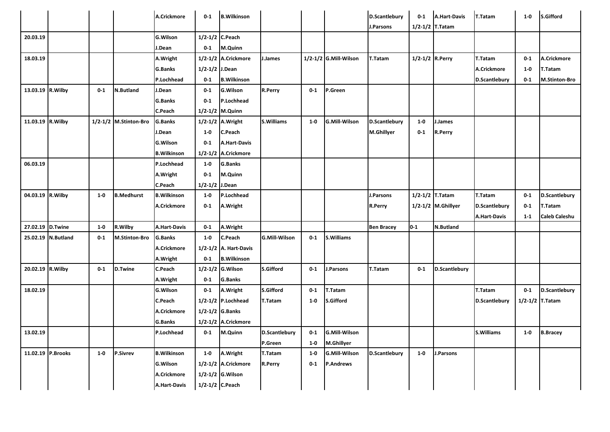|          |                    |         |                       | A.Crickmore         | $0 - 1$            | <b>B.Wilkinson</b>      |                      |         |                       | D.Scantlebury        | $0-1$           | <b>A.Hart-Davis</b> | T.Tatam              | $1-0$   | <b>S.Gifford</b>     |
|----------|--------------------|---------|-----------------------|---------------------|--------------------|-------------------------|----------------------|---------|-----------------------|----------------------|-----------------|---------------------|----------------------|---------|----------------------|
|          |                    |         |                       |                     |                    |                         |                      |         |                       | J.Parsons            | 1/2-1/2 T.Tatam |                     |                      |         |                      |
| 20.03.19 |                    |         |                       | <b>G.Wilson</b>     | 1/2-1/2 C.Peach    |                         |                      |         |                       |                      |                 |                     |                      |         |                      |
|          |                    |         |                       | J.Dean              | $0 - 1$            | M.Quinn                 |                      |         |                       |                      |                 |                     |                      |         |                      |
| 18.03.19 |                    |         |                       | A.Wright            |                    | 1/2-1/2 A.Crickmore     | J.James              |         | 1/2-1/2 G.Mill-Wilson | T.Tatam              | 1/2-1/2 R.Perry |                     | T.Tatam              | $0 - 1$ | A.Crickmore          |
|          |                    |         |                       | <b>G.Banks</b>      | $1/2 - 1/2$ J.Dean |                         |                      |         |                       |                      |                 |                     | A.Crickmore          | $1 - 0$ | T.Tatam              |
|          |                    |         |                       | P.Lochhead          | $0 - 1$            | <b>B.Wilkinson</b>      |                      |         |                       |                      |                 |                     | <b>D.Scantlebury</b> | $0 - 1$ | <b>M.Stinton-Bro</b> |
|          | 13.03.19 R.Wilby   | $0-1$   | <b>N.Butland</b>      | J.Dean              | $0-1$              | G.Wilson                | R.Perry              | $0 - 1$ | P.Green               |                      |                 |                     |                      |         |                      |
|          |                    |         |                       | <b>G.Banks</b>      | $0-1$              | P.Lochhead              |                      |         |                       |                      |                 |                     |                      |         |                      |
|          |                    |         |                       | C.Peach             | $1/2 - 1/2$        | M.Quinn                 |                      |         |                       |                      |                 |                     |                      |         |                      |
|          | 11.03.19 R.Wilby   |         | 1/2-1/2 M.Stinton-Bro | <b>G.Banks</b>      |                    | 1/2-1/2 A.Wright        | S. Williams          | $1-0$   | <b>G.Mill-Wilson</b>  | <b>D.Scantlebury</b> | $1-0$           | J.James             |                      |         |                      |
|          |                    |         |                       | J.Dean              | $1-0$              | C.Peach                 |                      |         |                       | <b>M.Ghillyer</b>    | $0 - 1$         | <b>R.Perry</b>      |                      |         |                      |
|          |                    |         |                       | <b>G.Wilson</b>     | $0-1$              | <b>A.Hart-Davis</b>     |                      |         |                       |                      |                 |                     |                      |         |                      |
|          |                    |         |                       | <b>B.Wilkinson</b>  | $1/2 - 1/2$        | A.Crickmore             |                      |         |                       |                      |                 |                     |                      |         |                      |
| 06.03.19 |                    |         |                       | P.Lochhead          | $1-0$              | <b>G.Banks</b>          |                      |         |                       |                      |                 |                     |                      |         |                      |
|          |                    |         |                       | A.Wright            | $0-1$              | M.Quinn                 |                      |         |                       |                      |                 |                     |                      |         |                      |
|          |                    |         |                       | C.Peach             | $1/2 - 1/2$        | J.Dean                  |                      |         |                       |                      |                 |                     |                      |         |                      |
|          | 04.03.19 R.Wilby   | $1-0$   | <b>B.Medhurst</b>     | <b>B.Wilkinson</b>  | $1-0$              | P.Lochhead              |                      |         |                       | J.Parsons            |                 | $1/2 - 1/2$ T.Tatam | T.Tatam              | $0 - 1$ | D.Scantlebury        |
|          |                    |         |                       | A.Crickmore         | $0 - 1$            | A.Wright                |                      |         |                       | R.Perry              |                 | 1/2-1/2 M.Ghillyer  | <b>D.Scantlebury</b> | $0 - 1$ | T.Tatam              |
|          |                    |         |                       |                     |                    |                         |                      |         |                       |                      |                 |                     | <b>A.Hart-Davis</b>  | $1-1$   | <b>Caleb Caleshu</b> |
|          | 27.02.19 D.Twine   | $1-0$   | R.Wilby               | <b>A.Hart-Davis</b> | $0-1$              | A.Wright                |                      |         |                       | <b>Ben Bracey</b>    | $0-1$           | <b>N.Butland</b>    |                      |         |                      |
|          | 25.02.19 N.Butland | $0-1$   | M.Stinton-Bro         | G.Banks             | $1-0$              | C.Peach                 | <b>G.Mill-Wilson</b> | $0-1$   | <b>S.Williams</b>     |                      |                 |                     |                      |         |                      |
|          |                    |         |                       | A.Crickmore         |                    | 1/2-1/2 A. Hart-Davis   |                      |         |                       |                      |                 |                     |                      |         |                      |
|          |                    |         |                       | A.Wright            | $0 - 1$            | <b>B.Wilkinson</b>      |                      |         |                       |                      |                 |                     |                      |         |                      |
|          | 20.02.19 R.Wilby   | $0-1$   | D.Twine               | C.Peach             | $1/2 - 1/2$        | <b>G.Wilson</b>         | S.Gifford            | $0-1$   | J.Parsons             | T.Tatam              | $0-1$           | D.Scantlebury       |                      |         |                      |
|          |                    |         |                       | A.Wright            | $0 - 1$            | G.Banks                 |                      |         |                       |                      |                 |                     |                      |         |                      |
| 18.02.19 |                    |         |                       | G.Wilson            | $0-1$              | A.Wright                | S.Gifford            | $0-1$   | T.Tatam               |                      |                 |                     | T.Tatam              | $0-1$   | <b>D.Scantlebury</b> |
|          |                    |         |                       | C.Peach             |                    | $1/2 - 1/2$ P. Lochhead | T.Tatam              | $1-0$   | <b>S.Gifford</b>      |                      |                 |                     | <b>D.Scantlebury</b> |         | $1/2 - 1/2$ T. Tatam |
|          |                    |         |                       | A.Crickmore         |                    | $1/2 - 1/2$ G. Banks    |                      |         |                       |                      |                 |                     |                      |         |                      |
|          |                    |         |                       | <b>G.Banks</b>      |                    | 1/2-1/2 A.Crickmore     |                      |         |                       |                      |                 |                     |                      |         |                      |
| 13.02.19 |                    |         |                       | P.Lochhead          | $0-1$              | M.Quinn                 | <b>D.Scantlebury</b> | $0-1$   | <b>G.Mill-Wilson</b>  |                      |                 |                     | <b>S.Williams</b>    | $1 - 0$ | <b>B.Bracey</b>      |
|          |                    |         |                       |                     |                    |                         | P.Green              | $1 - 0$ | M.Ghillyer            |                      |                 |                     |                      |         |                      |
|          | 11.02.19 P.Brooks  | $1 - 0$ | <b>P.Sivrev</b>       | <b>B.Wilkinson</b>  | $1-0$              | A.Wright                | T.Tatam              | $1 - 0$ | G.Mill-Wilson         | D.Scantlebury        | $1-0$           | J.Parsons           |                      |         |                      |
|          |                    |         |                       |                     |                    |                         |                      |         |                       |                      |                 |                     |                      |         |                      |
|          |                    |         |                       | <b>G.Wilson</b>     |                    | 1/2-1/2 A.Crickmore     | R.Perry              | $0 - 1$ | <b>P.Andrews</b>      |                      |                 |                     |                      |         |                      |
|          |                    |         |                       | A.Crickmore         |                    | 1/2-1/2 G. Wilson       |                      |         |                       |                      |                 |                     |                      |         |                      |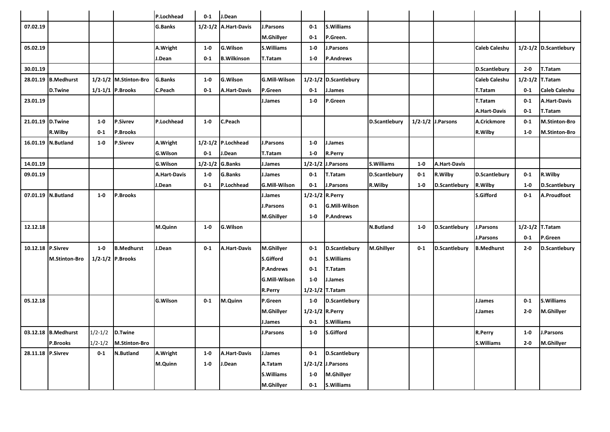|                   |                      |             |                       | P.Lochhead          | $0 - 1$     | J.Dean                  |                      |                 |                        |                      |         |                        |                      |             |                       |
|-------------------|----------------------|-------------|-----------------------|---------------------|-------------|-------------------------|----------------------|-----------------|------------------------|----------------------|---------|------------------------|----------------------|-------------|-----------------------|
| 07.02.19          |                      |             |                       | <b>G.Banks</b>      | $1/2 - 1/2$ | <b>A.Hart-Davis</b>     | .Parsons             | $0-1$           | S.Williams             |                      |         |                        |                      |             |                       |
|                   |                      |             |                       |                     |             |                         | M.Ghillyer           | $0 - 1$         | P.Green.               |                      |         |                        |                      |             |                       |
| 05.02.19          |                      |             |                       | A.Wright            | $1-0$       | G.Wilson                | S.Williams           | $1-0$           | <b>.Parsons</b>        |                      |         |                        | Caleb Caleshu        |             | 1/2-1/2 D.Scantlebury |
|                   |                      |             |                       | J.Dean              | $0-1$       | <b>B.Wilkinson</b>      | T.Tatam              | $1-0$           | <b>P.Andrews</b>       |                      |         |                        |                      |             |                       |
| 30.01.19          |                      |             |                       |                     |             |                         |                      |                 |                        |                      |         |                        | <b>D.Scantlebury</b> | $2 - 0$     | T.Tatam               |
| 28.01.19          | <b>B.Medhurst</b>    |             | 1/2-1/2 M.Stinton-Bro | <b>G.Banks</b>      | $1-0$       | G.Wilson                | <b>G.Mill-Wilson</b> |                 | 1/2-1/2 D.Scantlebury  |                      |         |                        | <b>Caleb Caleshu</b> | $1/2 - 1/2$ | <b>T.Tatam</b>        |
|                   | <b>D.Twine</b>       |             | 1/1-1/1 P.Brooks      | C.Peach             | $0 - 1$     | <b>A.Hart-Davis</b>     | P.Green              | $0 - 1$         | J.James                |                      |         |                        | <b>T.Tatam</b>       | $0 - 1$     | <b>Caleb Caleshu</b>  |
| 23.01.19          |                      |             |                       |                     |             |                         | J.James              | $1-0$           | P.Green                |                      |         |                        | T.Tatam              | $0 - 1$     | A.Hart-Davis          |
|                   |                      |             |                       |                     |             |                         |                      |                 |                        |                      |         |                        | <b>A.Hart-Davis</b>  | $0 - 1$     | T.Tatam               |
| 21.01.19 D.Twine  |                      | $1 - 0$     | <b>P.Sivrev</b>       | P.Lochhead          | $1-0$       | C.Peach                 |                      |                 |                        | <b>D.Scantlebury</b> |         | $1/2 - 1/2$ J. Parsons | A.Crickmore          | $0 - 1$     | <b>M.Stinton-Bro</b>  |
|                   | R.Wilby              | $0 - 1$     | P.Brooks              |                     |             |                         |                      |                 |                        |                      |         |                        | R.Wilby              | $1 - 0$     | <b>M.Stinton-Bro</b>  |
|                   | 16.01.19 N.Butland   | $1 - 0$     | <b>P.Sivrev</b>       | A.Wright            |             | $1/2 - 1/2$ P. Lochhead | J.Parsons            | $1 - 0$         | J.James                |                      |         |                        |                      |             |                       |
|                   |                      |             |                       | <b>G.Wilson</b>     | $0 - 1$     | J.Dean                  | T.Tatam              | $1-0$           | <b>R.Perry</b>         |                      |         |                        |                      |             |                       |
| 14.01.19          |                      |             |                       | <b>G.Wilson</b>     | $1/2 - 1/2$ | <b>G.Banks</b>          | I.James              | $1/2 - 1/2$     | J.Parsons              | S.Williams           | $1-0$   | <b>A.Hart-Davis</b>    |                      |             |                       |
| 09.01.19          |                      |             |                       | <b>A.Hart-Davis</b> | $1-0$       | G.Banks                 | I.James              | $0-1$           | T.Tatam                | D.Scantlebury        | $0 - 1$ | R.Wilby                | <b>D.Scantlebury</b> | $0 - 1$     | R.Wilby               |
|                   |                      |             |                       | J.Dean              | $0 - 1$     | P.Lochhead              | <b>G.Mill-Wilson</b> | $0 - 1$         | J.Parsons              | R.Wilby              | $1-0$   | D.Scantlebury          | R.Wilby              | $1-0$       | D.Scantlebury         |
|                   | 07.01.19 N.Butland   | $1-0$       | P.Brooks              |                     |             |                         | J.James              | $1/2 - 1/2$     | R.Perry                |                      |         |                        | <b>S.Gifford</b>     | $0 - 1$     | A.Proudfoot           |
|                   |                      |             |                       |                     |             |                         | J.Parsons            | $0 - 1$         | <b>G.Mill-Wilson</b>   |                      |         |                        |                      |             |                       |
|                   |                      |             |                       |                     |             |                         | M.Ghillyer           | $1 - 0$         | <b>P.Andrews</b>       |                      |         |                        |                      |             |                       |
| 12.12.18          |                      |             |                       | M.Quinn             | $1-0$       | G.Wilson                |                      |                 |                        | <b>N.Butland</b>     | $1 - 0$ | <b>D.Scantlebury</b>   | <b>I.Parsons</b>     |             | 1/2-1/2 T.Tatam       |
|                   |                      |             |                       |                     |             |                         |                      |                 |                        |                      |         |                        | J.Parsons            | $0 - 1$     | P.Green               |
| 10.12.18 P.Sivrev |                      | $1-0$       | <b>B.Medhurst</b>     | J.Dean              | $0-1$       | <b>A.Hart-Davis</b>     | M.Ghillyer           | $0-1$           | <b>D.Scantlebury</b>   | M.Ghillyer           | $0 - 1$ | D.Scantlebury          | <b>B.Medhurst</b>    | $2 - 0$     | D.Scantlebury         |
|                   | <b>M.Stinton-Bro</b> |             | 1/2-1/2 P.Brooks      |                     |             |                         | <b>S.Gifford</b>     | $0 - 1$         | <b>S.Williams</b>      |                      |         |                        |                      |             |                       |
|                   |                      |             |                       |                     |             |                         | <b>P.Andrews</b>     | $0 - 1$         | <b>T.Tatam</b>         |                      |         |                        |                      |             |                       |
|                   |                      |             |                       |                     |             |                         | <b>G.Mill-Wilson</b> | $1-0$           | J.James                |                      |         |                        |                      |             |                       |
|                   |                      |             |                       |                     |             |                         | R.Perry              | $1/2 - 1/2$     | T.Tatam                |                      |         |                        |                      |             |                       |
| 05.12.18          |                      |             |                       | <b>G.Wilson</b>     | $0 - 1$     | M.Quinn                 | P.Green              | $1 - 0$         | D.Scantlebury          |                      |         |                        | J.James              | $0 - 1$     | <b>S.Williams</b>     |
|                   |                      |             |                       |                     |             |                         | M.Ghillyer           | 1/2-1/2 R.Perry |                        |                      |         |                        | J.James              | $2 - 0$     | M.Ghillyer            |
|                   |                      |             |                       |                     |             |                         | J.James              | $0 - 1$         | <b>S.Williams</b>      |                      |         |                        |                      |             |                       |
|                   | 03.12.18 B.Medhurst  | $1/2 - 1/2$ | <b>D.Twine</b>        |                     |             |                         | l.Parsons            | $1-0$           | <b>S.Gifford</b>       |                      |         |                        | <b>R.Perry</b>       | $1 - 0$     | .Parsons              |
|                   | P.Brooks             | $1/2 - 1/2$ | <b>M.Stinton-Bro</b>  |                     |             |                         |                      |                 |                        |                      |         |                        | <b>S.Williams</b>    | $2 - 0$     | <b>M.Ghillyer</b>     |
| 28.11.18 P.Sivrev |                      | $0-1$       | N.Butland             | A.Wright            | $1-0$       | <b>A.Hart-Davis</b>     | J.James              | $0-1$           | D.Scantlebury          |                      |         |                        |                      |             |                       |
|                   |                      |             |                       | M.Quinn             | $1-0$       | J.Dean                  | A.Tatam              |                 | $1/2 - 1/2$ J. Parsons |                      |         |                        |                      |             |                       |
|                   |                      |             |                       |                     |             |                         | <b>S.Williams</b>    | $1 - 0$         | M.Ghillyer             |                      |         |                        |                      |             |                       |
|                   |                      |             |                       |                     |             |                         | M.Ghillyer           | $0 - 1$         | <b>S.Williams</b>      |                      |         |                        |                      |             |                       |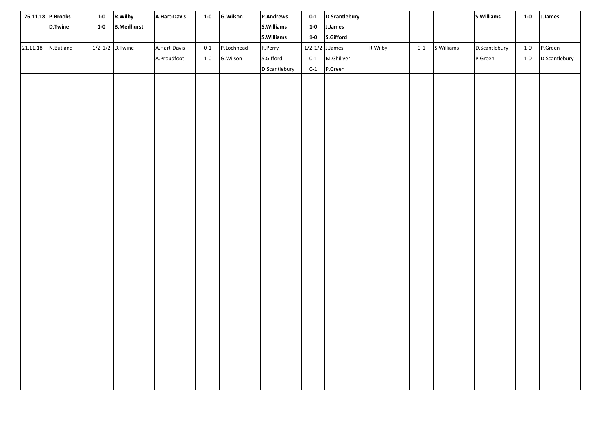| 26.11.18 P.Brooks |           | $1-0$ | R.Wilby           | A.Hart-Davis | $1-0$   | <b>G.Wilson</b> | <b>P.Andrews</b> | $0 - 1$           | <b>D.Scantlebury</b> |         |       |            | S.Williams    | $1-0$ | J.James       |
|-------------------|-----------|-------|-------------------|--------------|---------|-----------------|------------------|-------------------|----------------------|---------|-------|------------|---------------|-------|---------------|
|                   | D.Twine   | $1-0$ | <b>B.Medhurst</b> |              |         |                 | S.Williams       | $1-0$             | J.James              |         |       |            |               |       |               |
|                   |           |       |                   |              |         |                 | S.Williams       | $1-0$             | S.Gifford            |         |       |            |               |       |               |
| 21.11.18          | N.Butland |       | $1/2-1/2$ D.Twine | A.Hart-Davis | $0 - 1$ | P.Lochhead      | R.Perry          | $1/2-1/2$ J.James |                      | R.Wilby | $0-1$ | S.Williams | D.Scantlebury | $1-0$ | P.Green       |
|                   |           |       |                   | A.Proudfoot  | $1-0$   | G.Wilson        | S.Gifford        | $0 - 1$           | M.Ghillyer           |         |       |            | P.Green       | $1-0$ | D.Scantlebury |
|                   |           |       |                   |              |         |                 | D.Scantlebury    | $0 - 1$           | P.Green              |         |       |            |               |       |               |
|                   |           |       |                   |              |         |                 |                  |                   |                      |         |       |            |               |       |               |
|                   |           |       |                   |              |         |                 |                  |                   |                      |         |       |            |               |       |               |
|                   |           |       |                   |              |         |                 |                  |                   |                      |         |       |            |               |       |               |
|                   |           |       |                   |              |         |                 |                  |                   |                      |         |       |            |               |       |               |
|                   |           |       |                   |              |         |                 |                  |                   |                      |         |       |            |               |       |               |
|                   |           |       |                   |              |         |                 |                  |                   |                      |         |       |            |               |       |               |
|                   |           |       |                   |              |         |                 |                  |                   |                      |         |       |            |               |       |               |
|                   |           |       |                   |              |         |                 |                  |                   |                      |         |       |            |               |       |               |
|                   |           |       |                   |              |         |                 |                  |                   |                      |         |       |            |               |       |               |
|                   |           |       |                   |              |         |                 |                  |                   |                      |         |       |            |               |       |               |
|                   |           |       |                   |              |         |                 |                  |                   |                      |         |       |            |               |       |               |
|                   |           |       |                   |              |         |                 |                  |                   |                      |         |       |            |               |       |               |
|                   |           |       |                   |              |         |                 |                  |                   |                      |         |       |            |               |       |               |
|                   |           |       |                   |              |         |                 |                  |                   |                      |         |       |            |               |       |               |
|                   |           |       |                   |              |         |                 |                  |                   |                      |         |       |            |               |       |               |
|                   |           |       |                   |              |         |                 |                  |                   |                      |         |       |            |               |       |               |
|                   |           |       |                   |              |         |                 |                  |                   |                      |         |       |            |               |       |               |
|                   |           |       |                   |              |         |                 |                  |                   |                      |         |       |            |               |       |               |
|                   |           |       |                   |              |         |                 |                  |                   |                      |         |       |            |               |       |               |
|                   |           |       |                   |              |         |                 |                  |                   |                      |         |       |            |               |       |               |
|                   |           |       |                   |              |         |                 |                  |                   |                      |         |       |            |               |       |               |
|                   |           |       |                   |              |         |                 |                  |                   |                      |         |       |            |               |       |               |
|                   |           |       |                   |              |         |                 |                  |                   |                      |         |       |            |               |       |               |
|                   |           |       |                   |              |         |                 |                  |                   |                      |         |       |            |               |       |               |
|                   |           |       |                   |              |         |                 |                  |                   |                      |         |       |            |               |       |               |
|                   |           |       |                   |              |         |                 |                  |                   |                      |         |       |            |               |       |               |
|                   |           |       |                   |              |         |                 |                  |                   |                      |         |       |            |               |       |               |
|                   |           |       |                   |              |         |                 |                  |                   |                      |         |       |            |               |       |               |
|                   |           |       |                   |              |         |                 |                  |                   |                      |         |       |            |               |       |               |
|                   |           |       |                   |              |         |                 |                  |                   |                      |         |       |            |               |       |               |